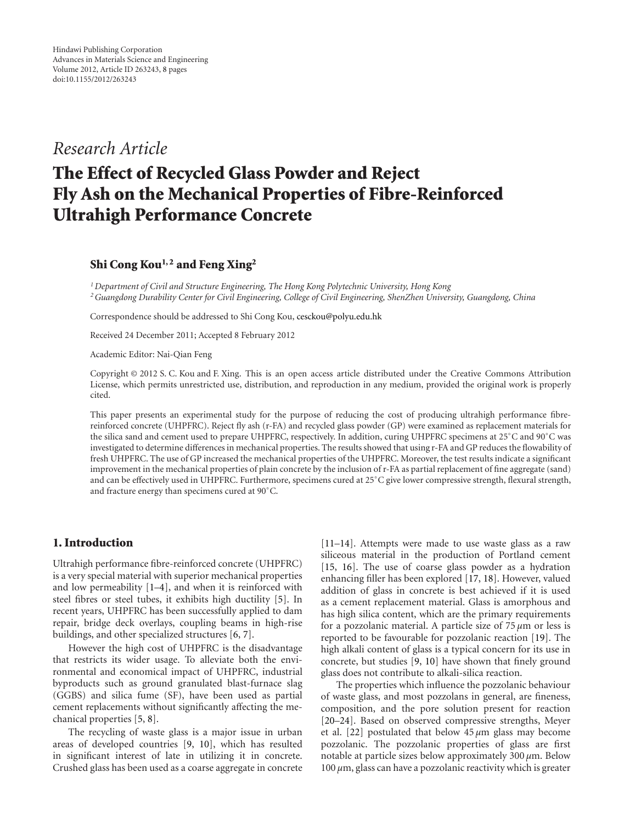*Research Article*

# **The Effect of Recycled Glass Powder and Reject Fly Ash on the Mechanical Properties of Fibre-Reinforced Ultrahigh Performance Concrete**

# **Shi Cong Kou1, 2 and Feng Xing2**

*1Department of Civil and Structure Engineering, The Hong Kong Polytechnic University, Hong Kong 2Guangdong Durability Center for Civil Engineering, College of Civil Engineering, ShenZhen University, Guangdong, China*

Correspondence should be addressed to Shi Cong Kou, cesckou@polyu.edu.hk

Received 24 December 2011; Accepted 8 February 2012

Academic Editor: Nai-Qian Feng

Copyright © 2012 S. C. Kou and F. Xing. This is an open access article distributed under the Creative Commons Attribution License, which permits unrestricted use, distribution, and reproduction in any medium, provided the original work is properly cited.

This paper presents an experimental study for the purpose of reducing the cost of producing ultrahigh performance fibrereinforced concrete (UHPFRC). Reject fly ash (r-FA) and recycled glass powder (GP) were examined as replacement materials for the silica sand and cement used to prepare UHPFRC, respectively. In addition, curing UHPFRC specimens at 25°C and 90°C was investigated to determine differences in mechanical properties. The results showed that using r-FA and GP reduces the flowability of fresh UHPFRC. The use of GP increased the mechanical properties of the UHPFRC. Moreover, the test results indicate a significant improvement in the mechanical properties of plain concrete by the inclusion of r-FA as partial replacement of fine aggregate (sand) and can be effectively used in UHPFRC. Furthermore, specimens cured at 25◦ C give lower compressive strength, flexural strength, and fracture energy than specimens cured at 90◦ C.

## **1. Introduction**

Ultrahigh performance fibre-reinforced concrete (UHPFRC) is a very special material with superior mechanical properties and low permeability [1–4], and when it is reinforced with steel fibres or steel tubes, it exhibits high ductility [5]. In recent years, UHPFRC has been successfully applied to dam repair, bridge deck overlays, coupling beams in high-rise buildings, and other specialized structures [6, 7].

However the high cost of UHPFRC is the disadvantage that restricts its wider usage. To alleviate both the environmental and economical impact of UHPFRC, industrial byproducts such as ground granulated blast-furnace slag (GGBS) and silica fume (SF), have been used as partial cement replacements without significantly affecting the mechanical properties [5, 8].

The recycling of waste glass is a major issue in urban areas of developed countries [9, 10], which has resulted in significant interest of late in utilizing it in concrete. Crushed glass has been used as a coarse aggregate in concrete

[11–14]. Attempts were made to use waste glass as a raw siliceous material in the production of Portland cement [15, 16]. The use of coarse glass powder as a hydration enhancing filler has been explored [17, 18]. However, valued addition of glass in concrete is best achieved if it is used as a cement replacement material. Glass is amorphous and has high silica content, which are the primary requirements for a pozzolanic material. A particle size of 75 *µ*m or less is reported to be favourable for pozzolanic reaction [19]. The high alkali content of glass is a typical concern for its use in concrete, but studies [9, 10] have shown that finely ground glass does not contribute to alkali-silica reaction.

The properties which influence the pozzolanic behaviour of waste glass, and most pozzolans in general, are fineness, composition, and the pore solution present for reaction [20–24]. Based on observed compressive strengths, Meyer et al. [22] postulated that below  $45 \mu m$  glass may become pozzolanic. The pozzolanic properties of glass are first notable at particle sizes below approximately 300 *µ*m. Below 100 *µ*m, glass can have a pozzolanic reactivity which is greater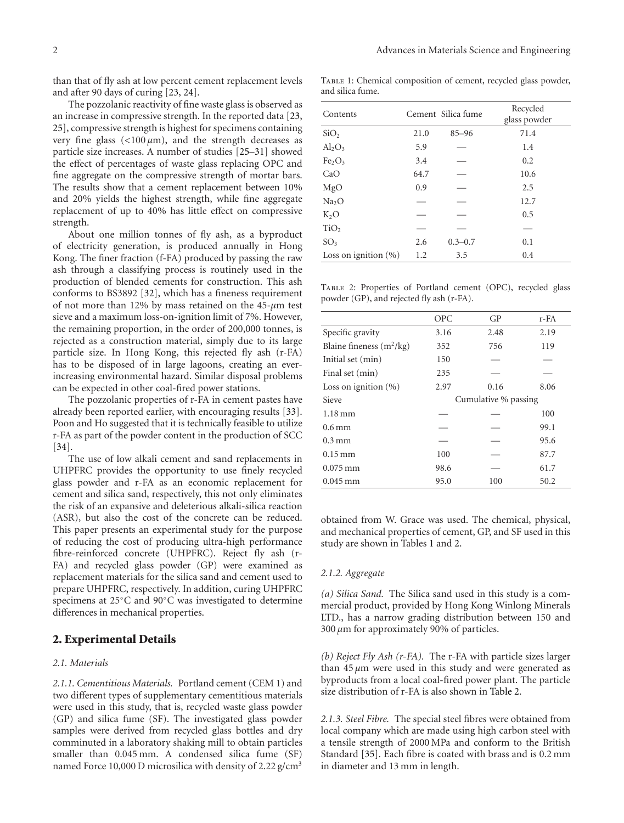than that of fly ash at low percent cement replacement levels and after 90 days of curing [23, 24].

The pozzolanic reactivity of fine waste glass is observed as an increase in compressive strength. In the reported data [23, 25], compressive strength is highest for specimens containing very fine glass  $\left($ <100  $\mu$ m), and the strength decreases as particle size increases. A number of studies [25–31] showed the effect of percentages of waste glass replacing OPC and fine aggregate on the compressive strength of mortar bars. The results show that a cement replacement between 10% and 20% yields the highest strength, while fine aggregate replacement of up to 40% has little effect on compressive strength.

About one million tonnes of fly ash, as a byproduct of electricity generation, is produced annually in Hong Kong. The finer fraction (f-FA) produced by passing the raw ash through a classifying process is routinely used in the production of blended cements for construction. This ash conforms to BS3892 [32], which has a fineness requirement of not more than 12% by mass retained on the 45-*µ*m test sieve and a maximum loss-on-ignition limit of 7%. However, the remaining proportion, in the order of 200,000 tonnes, is rejected as a construction material, simply due to its large particle size. In Hong Kong, this rejected fly ash (r-FA) has to be disposed of in large lagoons, creating an everincreasing environmental hazard. Similar disposal problems can be expected in other coal-fired power stations.

The pozzolanic properties of r-FA in cement pastes have already been reported earlier, with encouraging results [33]. Poon and Ho suggested that it is technically feasible to utilize r-FA as part of the powder content in the production of SCC [34].

The use of low alkali cement and sand replacements in UHPFRC provides the opportunity to use finely recycled glass powder and r-FA as an economic replacement for cement and silica sand, respectively, this not only eliminates the risk of an expansive and deleterious alkali-silica reaction (ASR), but also the cost of the concrete can be reduced. This paper presents an experimental study for the purpose of reducing the cost of producing ultra-high performance fibre-reinforced concrete (UHPFRC). Reject fly ash (r-FA) and recycled glass powder (GP) were examined as replacement materials for the silica sand and cement used to prepare UHPFRC, respectively. In addition, curing UHPFRC specimens at 25◦C and 90◦C was investigated to determine differences in mechanical properties.

## **2. Experimental Details**

### *2.1. Materials*

*2.1.1. Cementitious Materials.* Portland cement (CEM 1) and two different types of supplementary cementitious materials were used in this study, that is, recycled waste glass powder (GP) and silica fume (SF). The investigated glass powder samples were derived from recycled glass bottles and dry comminuted in a laboratory shaking mill to obtain particles smaller than 0.045 mm. A condensed silica fume (SF) named Force 10,000 D microsilica with density of 2.22 g/cm<sup>3</sup>

TABLE 1: Chemical composition of cement, recycled glass powder, and silica fume.

| Contents                       |      | Cement Silica fume | Recycled<br>glass powder |
|--------------------------------|------|--------------------|--------------------------|
| SiO <sub>2</sub>               | 21.0 | $85 - 96$          | 71.4                     |
| $\text{Al}_2\text{O}_3$        | 5.9  |                    | 1.4                      |
| Fe <sub>2</sub> O <sub>3</sub> | 3.4  |                    | 0.2                      |
| CaO                            | 64.7 |                    | 10.6                     |
| MgO                            | 0.9  |                    | 2.5                      |
| Na <sub>2</sub> O              |      |                    | 12.7                     |
| $K_2O$                         |      |                    | 0.5                      |
| TiO <sub>2</sub>               |      |                    |                          |
| SO <sub>3</sub>                | 2.6  | $0.3 - 0.7$        | 0.1                      |
| Loss on ignition (%)           | 1.2  | 3.5                | 0.4                      |
|                                |      |                    |                          |

Table 2: Properties of Portland cement (OPC), recycled glass powder (GP), and rejected fly ash (r-FA).

|                            | <b>OPC</b>           | GP   | r-FA |  |  |
|----------------------------|----------------------|------|------|--|--|
| Specific gravity           | 3.16                 | 2.48 | 2.19 |  |  |
| Blaine fineness $(m^2/kg)$ | 352                  | 756  | 119  |  |  |
| Initial set (min)          | 150                  |      |      |  |  |
| Final set (min)            | 235                  |      |      |  |  |
| Loss on ignition $(\% )$   | 0.16<br>2.97         |      | 8.06 |  |  |
| Sieve                      | Cumulative % passing |      |      |  |  |
| $1.18 \,\mathrm{mm}$       |                      |      | 100  |  |  |
| $0.6 \,\mathrm{mm}$        |                      |      | 99.1 |  |  |
| $0.3 \,\mathrm{mm}$        |                      |      | 95.6 |  |  |
| $0.15 \,\mathrm{mm}$       | 100                  |      | 87.7 |  |  |
| $0.075$ mm                 | 98.6                 |      | 61.7 |  |  |
| $0.045 \,\mathrm{mm}$      | 95.0                 | 100  | 50.2 |  |  |

obtained from W. Grace was used. The chemical, physical, and mechanical properties of cement, GP, and SF used in this study are shown in Tables 1 and 2.

#### *2.1.2. Aggregate*

*(a) Silica Sand.* The Silica sand used in this study is a commercial product, provided by Hong Kong Winlong Minerals LTD., has a narrow grading distribution between 150 and 300 *µ*m for approximately 90% of particles.

*(b) Reject Fly Ash (r-FA).* The r-FA with particle sizes larger than  $45 \mu m$  were used in this study and were generated as byproducts from a local coal-fired power plant. The particle size distribution of r-FA is also shown in Table 2.

*2.1.3. Steel Fibre.* The special steel fibres were obtained from local company which are made using high carbon steel with a tensile strength of 2000 MPa and conform to the British Standard [35]. Each fibre is coated with brass and is 0.2 mm in diameter and 13 mm in length.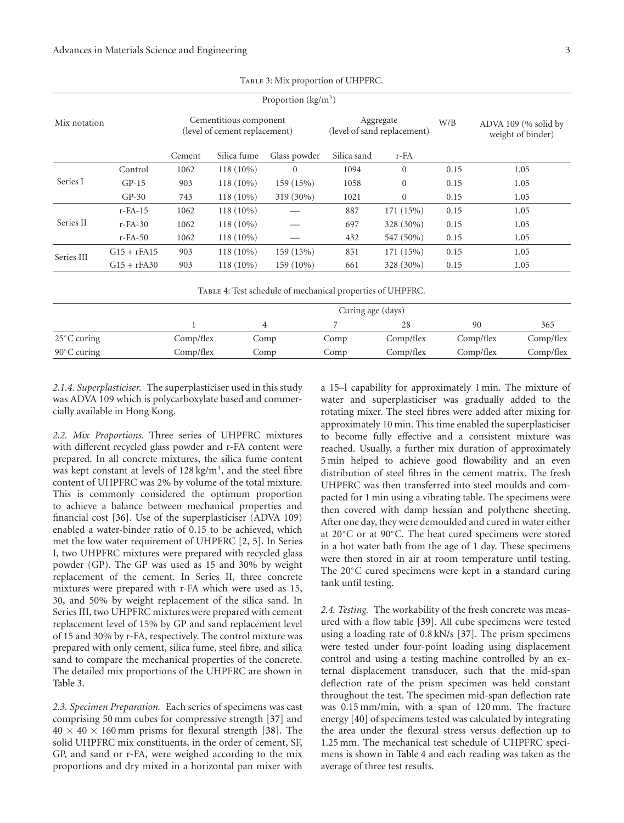| Proportion $(kg/m^3)$ |        |                                                         |              |                                          |                |      |                                           |  |
|-----------------------|--------|---------------------------------------------------------|--------------|------------------------------------------|----------------|------|-------------------------------------------|--|
| Mix notation          |        | Cementitious component<br>(level of cement replacement) |              | Aggregate<br>(level of sand replacement) |                | W/B  | ADVA 109 (% solid by<br>weight of binder) |  |
|                       | Cement | Silica fume                                             | Glass powder | Silica sand                              | r-FA           |      |                                           |  |
| Control               | 1062   | $118(10\%)$                                             | $\Omega$     | 1094                                     | $\overline{0}$ | 0.15 | 1.05                                      |  |
| $GP-15$               | 903    | $118(10\%)$                                             | 159 (15%)    | 1058                                     | $\mathbf{0}$   | 0.15 | 1.05                                      |  |
| $GP-30$               | 743    | $118(10\%)$                                             | 319 (30%)    | 1021                                     | $\mathbf{0}$   | 0.15 | 1.05                                      |  |
| $r$ - $FA-15$         | 1062   | $118(10\%)$                                             |              | 887                                      | 171 (15%)      | 0.15 | 1.05                                      |  |
| $r$ - $FA-30$         | 1062   | $118(10\%)$                                             |              | 697                                      | 328 (30%)      | 0.15 | 1.05                                      |  |
| $r$ - $FA$ -50        | 1062   | $118(10\%)$                                             |              | 432                                      | 547 (50%)      | 0.15 | 1.05                                      |  |
| $G15 + rFA15$         | 903    | $118(10\%)$                                             | 159 (15%)    | 851                                      | 171 (15%)      | 0.15 | 1.05                                      |  |
| $G15 + rFA30$         | 903    | $118(10\%)$                                             | 159 (10%)    | 661                                      | 328 (30%)      | 0.15 | 1.05                                      |  |
|                       |        |                                                         |              |                                          |                |      |                                           |  |

Table 3: Mix proportion of UHPFRC.

Table 4: Test schedule of mechanical properties of UHPFRC.

|                       |           | Curing age (days) |      |           |           |           |  |  |
|-----------------------|-----------|-------------------|------|-----------|-----------|-----------|--|--|
|                       |           | 4                 |      |           | 90        | 365       |  |  |
| $25^{\circ}$ C curing | Comp/flex | Comp              | Comp | Comp/flex | Comp/flex | Comp/flex |  |  |
| $90^{\circ}$ C curing | Comp/flex | Comp              | Comp | Comp/flex | Comp/flex | Comp/flex |  |  |

*2.1.4. Superplasticiser.* The superplasticiser used in this study was ADVA 109 which is polycarboxylate based and commercially available in Hong Kong.

*2.2. Mix Proportions.* Three series of UHPFRC mixtures with different recycled glass powder and r-FA content were prepared. In all concrete mixtures, the silica fume content was kept constant at levels of 128 kg/m3, and the steel fibre content of UHPFRC was 2% by volume of the total mixture. This is commonly considered the optimum proportion to achieve a balance between mechanical properties and financial cost [36]. Use of the superplasticiser (ADVA 109) enabled a water-binder ratio of 0.15 to be achieved, which met the low water requirement of UHPFRC [2, 5]. In Series I, two UHPFRC mixtures were prepared with recycled glass powder (GP). The GP was used as 15 and 30% by weight replacement of the cement. In Series II, three concrete mixtures were prepared with r-FA which were used as 15, 30, and 50% by weight replacement of the silica sand. In Series III, two UHPFRC mixtures were prepared with cement replacement level of 15% by GP and sand replacement level of 15 and 30% by r-FA, respectively. The control mixture was prepared with only cement, silica fume, steel fibre, and silica sand to compare the mechanical properties of the concrete. The detailed mix proportions of the UHPFRC are shown in Table 3.

*2.3. Specimen Preparation.* Each series of specimens was cast comprising 50 mm cubes for compressive strength [37] and  $40 \times 40 \times 160$  mm prisms for flexural strength [38]. The solid UHPFRC mix constituents, in the order of cement, SF, GP, and sand or r-FA, were weighed according to the mix proportions and dry mixed in a horizontal pan mixer with

a 15–l capability for approximately 1 min. The mixture of water and superplasticiser was gradually added to the rotating mixer. The steel fibres were added after mixing for approximately 10 min. This time enabled the superplasticiser to become fully effective and a consistent mixture was reached. Usually, a further mix duration of approximately 5 min helped to achieve good flowability and an even distribution of steel fibres in the cement matrix. The fresh UHPFRC was then transferred into steel moulds and compacted for 1 min using a vibrating table. The specimens were then covered with damp hessian and polythene sheeting. After one day, they were demoulded and cured in water either at 20◦C or at 90◦C. The heat cured specimens were stored in a hot water bath from the age of 1 day. These specimens were then stored in air at room temperature until testing. The 20◦C cured specimens were kept in a standard curing tank until testing.

*2.4. Testing.* The workability of the fresh concrete was measured with a flow table [39]. All cube specimens were tested using a loading rate of 0.8 kN/s [37]. The prism specimens were tested under four-point loading using displacement control and using a testing machine controlled by an external displacement transducer, such that the mid-span deflection rate of the prism specimen was held constant throughout the test. The specimen mid-span deflection rate was 0.15 mm/min, with a span of 120 mm. The fracture energy [40] of specimens tested was calculated by integrating the area under the flexural stress versus deflection up to 1.25 mm. The mechanical test schedule of UHPFRC specimens is shown in Table 4 and each reading was taken as the average of three test results.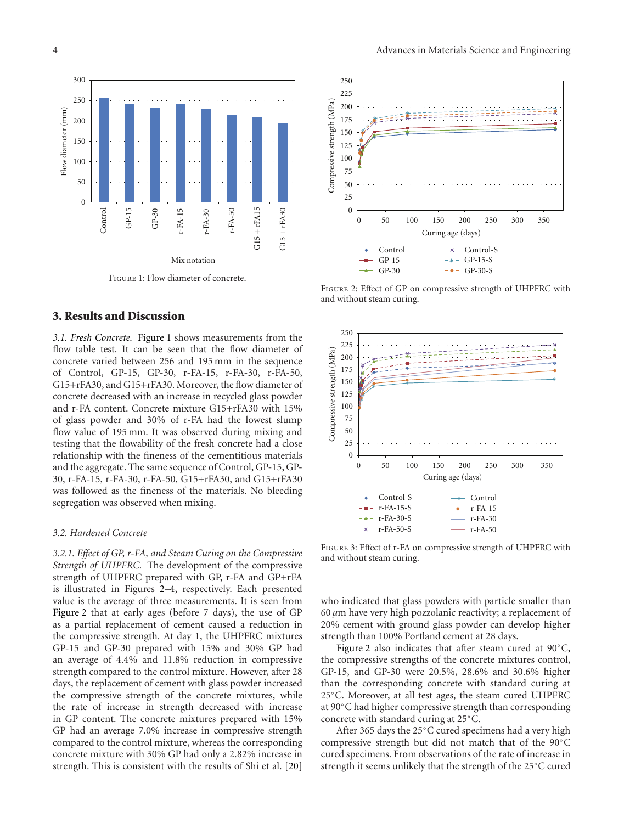

Figure 1: Flow diameter of concrete.

## **3. Results and Discussion**

*3.1. Fresh Concrete.* Figure 1 shows measurements from the flow table test. It can be seen that the flow diameter of concrete varied between 256 and 195 mm in the sequence of Control, GP-15, GP-30, r-FA-15, r-FA-30, r-FA-50, G15+rFA30, and G15+rFA30. Moreover, the flow diameter of concrete decreased with an increase in recycled glass powder and r-FA content. Concrete mixture G15+rFA30 with 15% of glass powder and 30% of r-FA had the lowest slump flow value of 195 mm. It was observed during mixing and testing that the flowability of the fresh concrete had a close relationship with the fineness of the cementitious materials and the aggregate. The same sequence of Control, GP-15, GP-30, r-FA-15, r-FA-30, r-FA-50, G15+rFA30, and G15+rFA30 was followed as the fineness of the materials. No bleeding segregation was observed when mixing.

## *3.2. Hardened Concrete*

*3.2.1. Effect of GP, r-FA, and Steam Curing on the Compressive Strength of UHPFRC.* The development of the compressive strength of UHPFRC prepared with GP, r-FA and GP+rFA is illustrated in Figures 2–4, respectively. Each presented value is the average of three measurements. It is seen from Figure 2 that at early ages (before 7 days), the use of GP as a partial replacement of cement caused a reduction in the compressive strength. At day 1, the UHPFRC mixtures GP-15 and GP-30 prepared with 15% and 30% GP had an average of 4.4% and 11.8% reduction in compressive strength compared to the control mixture. However, after 28 days, the replacement of cement with glass powder increased the compressive strength of the concrete mixtures, while the rate of increase in strength decreased with increase in GP content. The concrete mixtures prepared with 15% GP had an average 7.0% increase in compressive strength compared to the control mixture, whereas the corresponding concrete mixture with 30% GP had only a 2.82% increase in strength. This is consistent with the results of Shi et al. [20]



Figure 2: Effect of GP on compressive strength of UHPFRC with and without steam curing.



Figure 3: Effect of r-FA on compressive strength of UHPFRC with and without steam curing.

who indicated that glass powders with particle smaller than 60 *µ*m have very high pozzolanic reactivity; a replacement of 20% cement with ground glass powder can develop higher strength than 100% Portland cement at 28 days.

Figure 2 also indicates that after steam cured at 90◦C, the compressive strengths of the concrete mixtures control, GP-15, and GP-30 were 20.5%, 28.6% and 30.6% higher than the corresponding concrete with standard curing at 25◦C. Moreover, at all test ages, the steam cured UHPFRC at 90◦C had higher compressive strength than corresponding concrete with standard curing at 25◦C.

After 365 days the 25◦C cured specimens had a very high compressive strength but did not match that of the 90◦C cured specimens. From observations of the rate of increase in strength it seems unlikely that the strength of the 25◦C cured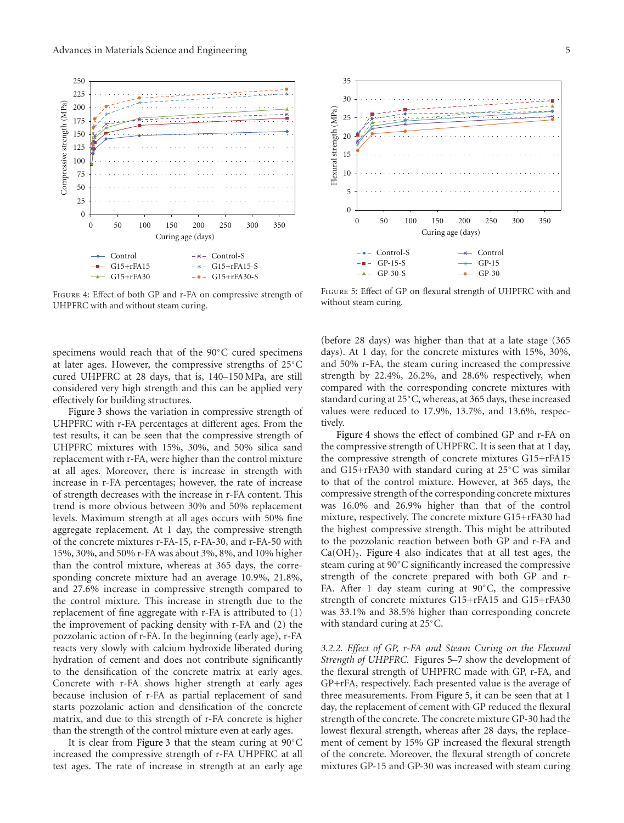

Figure 4: Effect of both GP and r-FA on compressive strength of UHPFRC with and without steam curing.

specimens would reach that of the 90◦C cured specimens at later ages. However, the compressive strengths of 25◦C cured UHPFRC at 28 days, that is, 140–150 MPa, are still considered very high strength and this can be applied very effectively for building structures.

Figure 3 shows the variation in compressive strength of UHPFRC with r-FA percentages at different ages. From the test results, it can be seen that the compressive strength of UHPFRC mixtures with 15%, 30%, and 50% silica sand replacement with r-FA, were higher than the control mixture at all ages. Moreover, there is increase in strength with increase in r-FA percentages; however, the rate of increase of strength decreases with the increase in r-FA content. This trend is more obvious between 30% and 50% replacement levels. Maximum strength at all ages occurs with 50% fine aggregate replacement. At 1 day, the compressive strength of the concrete mixtures r-FA-15, r-FA-30, and r-FA-50 with 15%, 30%, and 50% r-FA was about 3%, 8%, and 10% higher than the control mixture, whereas at 365 days, the corresponding concrete mixture had an average 10.9%, 21.8%, and 27.6% increase in compressive strength compared to the control mixture. This increase in strength due to the replacement of fine aggregate with r-FA is attributed to (1) the improvement of packing density with r-FA and (2) the pozzolanic action of r-FA. In the beginning (early age), r-FA reacts very slowly with calcium hydroxide liberated during hydration of cement and does not contribute significantly to the densification of the concrete matrix at early ages. Concrete with r-FA shows higher strength at early ages because inclusion of r-FA as partial replacement of sand starts pozzolanic action and densification of the concrete matrix, and due to this strength of r-FA concrete is higher than the strength of the control mixture even at early ages.

It is clear from Figure 3 that the steam curing at 90◦C increased the compressive strength of r-FA UHPFRC at all test ages. The rate of increase in strength at an early age



FIGURE 5: Effect of GP on flexural strength of UHPFRC with and without steam curing.

(before 28 days) was higher than that at a late stage (365 days). At 1 day, for the concrete mixtures with 15%, 30%, and 50% r-FA, the steam curing increased the compressive strength by 22.4%, 26.2%, and 28.6% respectively, when compared with the corresponding concrete mixtures with standard curing at 25◦C, whereas, at 365 days, these increased values were reduced to 17.9%, 13.7%, and 13.6%, respectively.

Figure 4 shows the effect of combined GP and r-FA on the compressive strength of UHPFRC. It is seen that at 1 day, the compressive strength of concrete mixtures G15+rFA15 and G15+rFA30 with standard curing at 25◦C was similar to that of the control mixture. However, at 365 days, the compressive strength of the corresponding concrete mixtures was 16.0% and 26.9% higher than that of the control mixture, respectively. The concrete mixture G15+rFA30 had the highest compressive strength. This might be attributed to the pozzolanic reaction between both GP and r-FA and  $Ca(OH)_2$ . Figure 4 also indicates that at all test ages, the steam curing at 90◦C significantly increased the compressive strength of the concrete prepared with both GP and r-FA. After 1 day steam curing at 90◦C, the compressive strength of concrete mixtures G15+rFA15 and G15+rFA30 was 33.1% and 38.5% higher than corresponding concrete with standard curing at 25◦C.

*3.2.2. Effect of GP, r-FA and Steam Curing on the Flexural Strength of UHPFRC.* Figures 5–7 show the development of the flexural strength of UHPFRC made with GP, r-FA, and GP+rFA, respectively. Each presented value is the average of three measurements. From Figure 5, it can be seen that at 1 day, the replacement of cement with GP reduced the flexural strength of the concrete. The concrete mixture GP-30 had the lowest flexural strength, whereas after 28 days, the replacement of cement by 15% GP increased the flexural strength of the concrete. Moreover, the flexural strength of concrete mixtures GP-15 and GP-30 was increased with steam curing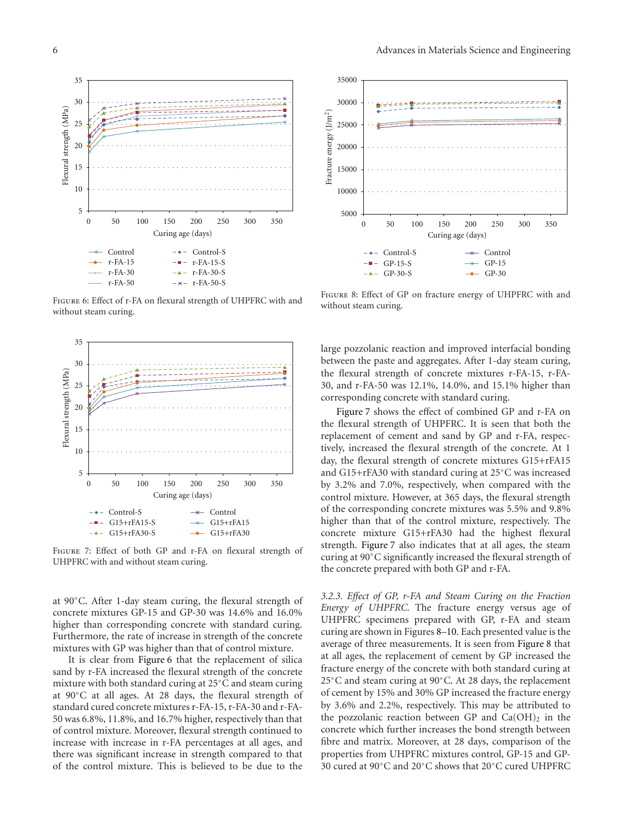

Figure 6: Effect of r-FA on flexural strength of UHPFRC with and without steam curing.



Figure 7: Effect of both GP and r-FA on flexural strength of UHPFRC with and without steam curing.

at 90◦C. After 1-day steam curing, the flexural strength of concrete mixtures GP-15 and GP-30 was 14.6% and 16.0% higher than corresponding concrete with standard curing. Furthermore, the rate of increase in strength of the concrete mixtures with GP was higher than that of control mixture.

It is clear from Figure 6 that the replacement of silica sand by r-FA increased the flexural strength of the concrete mixture with both standard curing at 25◦C and steam curing at 90◦C at all ages. At 28 days, the flexural strength of standard cured concrete mixtures r-FA-15, r-FA-30 and r-FA-50 was 6.8%, 11.8%, and 16.7% higher, respectively than that of control mixture. Moreover, flexural strength continued to increase with increase in r-FA percentages at all ages, and there was significant increase in strength compared to that of the control mixture. This is believed to be due to the



Figure 8: Effect of GP on fracture energy of UHPFRC with and without steam curing.

large pozzolanic reaction and improved interfacial bonding between the paste and aggregates. After 1-day steam curing, the flexural strength of concrete mixtures r-FA-15, r-FA-30, and r-FA-50 was 12.1%, 14.0%, and 15.1% higher than corresponding concrete with standard curing.

Figure 7 shows the effect of combined GP and r-FA on the flexural strength of UHPFRC. It is seen that both the replacement of cement and sand by GP and r-FA, respectively, increased the flexural strength of the concrete. At 1 day, the flexural strength of concrete mixtures G15+rFA15 and G15+rFA30 with standard curing at 25◦C was increased by 3.2% and 7.0%, respectively, when compared with the control mixture. However, at 365 days, the flexural strength of the corresponding concrete mixtures was 5.5% and 9.8% higher than that of the control mixture, respectively. The concrete mixture G15+rFA30 had the highest flexural strength. Figure 7 also indicates that at all ages, the steam curing at 90◦C significantly increased the flexural strength of the concrete prepared with both GP and r-FA.

*3.2.3. Effect of GP, r-FA and Steam Curing on the Fraction Energy of UHPFRC.* The fracture energy versus age of UHPFRC specimens prepared with GP, r-FA and steam curing are shown in Figures 8–10. Each presented value is the average of three measurements. It is seen from Figure 8 that at all ages, the replacement of cement by GP increased the fracture energy of the concrete with both standard curing at 25◦C and steam curing at 90◦C. At 28 days, the replacement of cement by 15% and 30% GP increased the fracture energy by 3.6% and 2.2%, respectively. This may be attributed to the pozzolanic reaction between GP and  $Ca(OH)_2$  in the concrete which further increases the bond strength between fibre and matrix. Moreover, at 28 days, comparison of the properties from UHPFRC mixtures control, GP-15 and GP-30 cured at 90◦C and 20◦C shows that 20◦C cured UHPFRC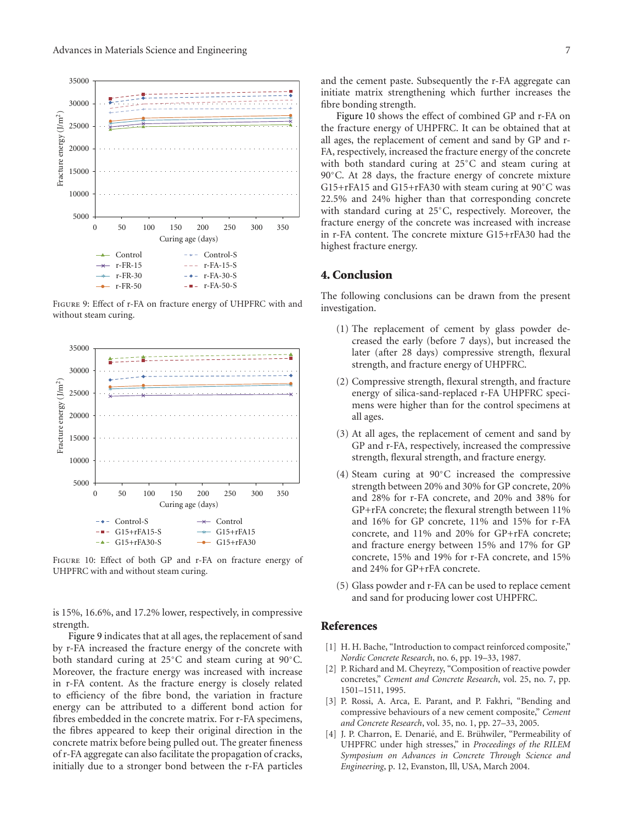

Figure 9: Effect of r-FA on fracture energy of UHPFRC with and without steam curing.



Figure 10: Effect of both GP and r-FA on fracture energy of UHPFRC with and without steam curing.

is 15%, 16.6%, and 17.2% lower, respectively, in compressive strength.

Figure 9 indicates that at all ages, the replacement of sand by r-FA increased the fracture energy of the concrete with both standard curing at 25◦C and steam curing at 90◦C. Moreover, the fracture energy was increased with increase in r-FA content. As the fracture energy is closely related to efficiency of the fibre bond, the variation in fracture energy can be attributed to a different bond action for fibres embedded in the concrete matrix. For r-FA specimens, the fibres appeared to keep their original direction in the concrete matrix before being pulled out. The greater fineness of r-FA aggregate can also facilitate the propagation of cracks, initially due to a stronger bond between the r-FA particles and the cement paste. Subsequently the r-FA aggregate can initiate matrix strengthening which further increases the fibre bonding strength.

Figure 10 shows the effect of combined GP and r-FA on the fracture energy of UHPFRC. It can be obtained that at all ages, the replacement of cement and sand by GP and r-FA, respectively, increased the fracture energy of the concrete with both standard curing at 25◦C and steam curing at 90◦C. At 28 days, the fracture energy of concrete mixture G15+rFA15 and G15+rFA30 with steam curing at 90◦C was 22.5% and 24% higher than that corresponding concrete with standard curing at 25◦C, respectively. Moreover, the fracture energy of the concrete was increased with increase in r-FA content. The concrete mixture G15+rFA30 had the highest fracture energy.

## **4. Conclusion**

The following conclusions can be drawn from the present investigation.

- (1) The replacement of cement by glass powder decreased the early (before 7 days), but increased the later (after 28 days) compressive strength, flexural strength, and fracture energy of UHPFRC.
- (2) Compressive strength, flexural strength, and fracture energy of silica-sand-replaced r-FA UHPFRC specimens were higher than for the control specimens at all ages.
- (3) At all ages, the replacement of cement and sand by GP and r-FA, respectively, increased the compressive strength, flexural strength, and fracture energy.
- (4) Steam curing at 90◦C increased the compressive strength between 20% and 30% for GP concrete, 20% and 28% for r-FA concrete, and 20% and 38% for GP+rFA concrete; the flexural strength between 11% and 16% for GP concrete, 11% and 15% for r-FA concrete, and 11% and 20% for GP+rFA concrete; and fracture energy between 15% and 17% for GP concrete, 15% and 19% for r-FA concrete, and 15% and 24% for GP+rFA concrete.
- (5) Glass powder and r-FA can be used to replace cement and sand for producing lower cost UHPFRC.

## **References**

- [1] H. H. Bache, "Introduction to compact reinforced composite," *Nordic Concrete Research*, no. 6, pp. 19–33, 1987.
- P. Richard and M. Cheyrezy, "Composition of reactive powder concretes," *Cement and Concrete Research*, vol. 25, no. 7, pp. 1501–1511, 1995.
- [3] P. Rossi, A. Arca, E. Parant, and P. Fakhri, "Bending and compressive behaviours of a new cement composite," *Cement and Concrete Research*, vol. 35, no. 1, pp. 27–33, 2005.
- [4] J. P. Charron, E. Denarié, and E. Brühwiler, "Permeability of UHPFRC under high stresses," in *Proceedings of the RILEM Symposium on Advances in Concrete Through Science and Engineering*, p. 12, Evanston, Ill, USA, March 2004.